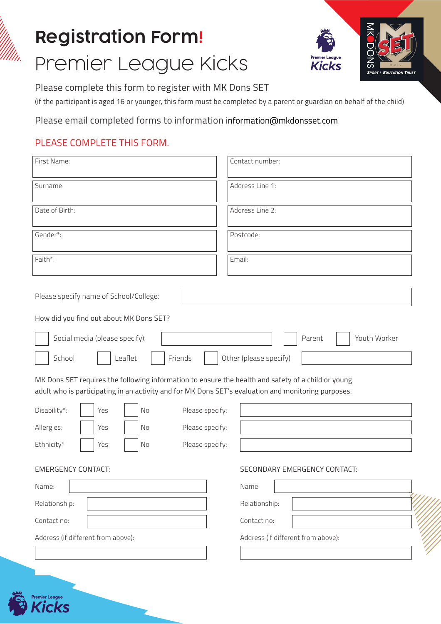# Registration Form! Premier League Kicks



Please complete this form to register with MK Dons SET

(if the participant is aged 16 or younger, this form must be completed by a parent or guardian on behalf of the child)

Please email completed forms to information information@mkdonsset.com

## PLEASE COMPLETE THIS FORM.

| First Name:                                                                                                                                                                                                                                                                                                                                                                                                          | Contact number:                    |  |
|----------------------------------------------------------------------------------------------------------------------------------------------------------------------------------------------------------------------------------------------------------------------------------------------------------------------------------------------------------------------------------------------------------------------|------------------------------------|--|
| Surname:                                                                                                                                                                                                                                                                                                                                                                                                             | Address Line 1:                    |  |
| Date of Birth:                                                                                                                                                                                                                                                                                                                                                                                                       | Address Line 2:                    |  |
| Gender*:                                                                                                                                                                                                                                                                                                                                                                                                             | Postcode:                          |  |
| Faith*:                                                                                                                                                                                                                                                                                                                                                                                                              | Email:                             |  |
| Please specify name of School/College:<br>How did you find out about MK Dons SET?<br>Social media (please specify):<br>Parent<br>Youth Worker<br>School<br>Leaflet<br>Friends<br>Other (please specify)<br>MK Dons SET requires the following information to ensure the health and safety of a child or young<br>adult who is participating in an activity and for MK Dons SET's evaluation and monitoring purposes. |                                    |  |
| Disability*:<br>Please specify:<br>Yes<br>No                                                                                                                                                                                                                                                                                                                                                                         |                                    |  |
| Please specify:<br>Allergies:<br>Yes<br>No                                                                                                                                                                                                                                                                                                                                                                           |                                    |  |
| Ethnicity*<br>Please specify:<br>No<br>Yes                                                                                                                                                                                                                                                                                                                                                                           |                                    |  |
| <b>EMERGENCY CONTACT:</b>                                                                                                                                                                                                                                                                                                                                                                                            | SECONDARY EMERGENCY CONTACT:       |  |
| Name:                                                                                                                                                                                                                                                                                                                                                                                                                | Name:                              |  |
| Relationship:                                                                                                                                                                                                                                                                                                                                                                                                        | Relationship:                      |  |
| Contact no:                                                                                                                                                                                                                                                                                                                                                                                                          | Contact no:                        |  |
| Address (if different from above):                                                                                                                                                                                                                                                                                                                                                                                   | Address (if different from above): |  |
|                                                                                                                                                                                                                                                                                                                                                                                                                      |                                    |  |

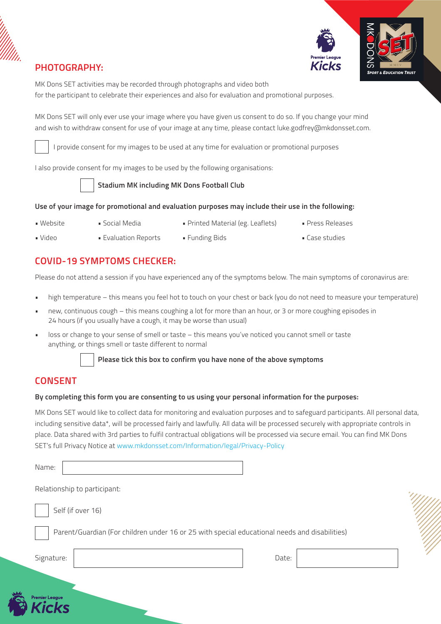



MK Dons SET activities may be recorded through photographs and video both for the participant to celebrate their experiences and also for evaluation and promotional purposes.

MK Dons SET will only ever use your image where you have given us consent to do so. If you change your mind and wish to withdraw consent for use of your image at any time, please contact luke.godfrey@mkdonsset.com.

I provide consent for my images to be used at any time for evaluation or promotional purposes

I also provide consent for my images to be used by the following organisations:



**Stadium MK including MK Dons Football Club**

#### **Use of your image for promotional and evaluation purposes may include their use in the following:**

- 
- Website Social Media Printed Material (eg. Leaflets) Press Releases
	-
- 
- Video Evaluation Reports Funding Bids Case studies

#### **COVID-19 SYMPTOMS CHECKER:**

Please do not attend a session if you have experienced any of the symptoms below. The main symptoms of coronavirus are:

- high temperature this means you feel hot to touch on your chest or back (you do not need to measure your temperature)
- new, continuous cough this means coughing a lot for more than an hour, or 3 or more coughing episodes in 24 hours (if you usually have a cough, it may be worse than usual)
- loss or change to your sense of smell or taste this means you've noticed you cannot smell or taste anything, or things smell or taste different to normal



**Please tick this box to confirm you have none of the above symptoms**

### **CONSENT**

#### **By completing this form you are consenting to us using your personal information for the purposes:**

MK Dons SET would like to collect data for monitoring and evaluation purposes and to safeguard participants. All personal data, including sensitive data\*, will be processed fairly and lawfully. All data will be processed securely with appropriate controls in place. Data shared with 3rd parties to fulfil contractual obligations will be processed via secure email. You can find MK Dons SET's full Privacy Notice at www.mkdonsset.com/Information/legal/Privacy-Policy

| Name:                                                                                         |       |  |
|-----------------------------------------------------------------------------------------------|-------|--|
| Relationship to participant:                                                                  |       |  |
| Self (if over 16)                                                                             |       |  |
| Parent/Guardian (For children under 16 or 25 with special educational needs and disabilities) |       |  |
| Signature:                                                                                    | Date: |  |
|                                                                                               |       |  |